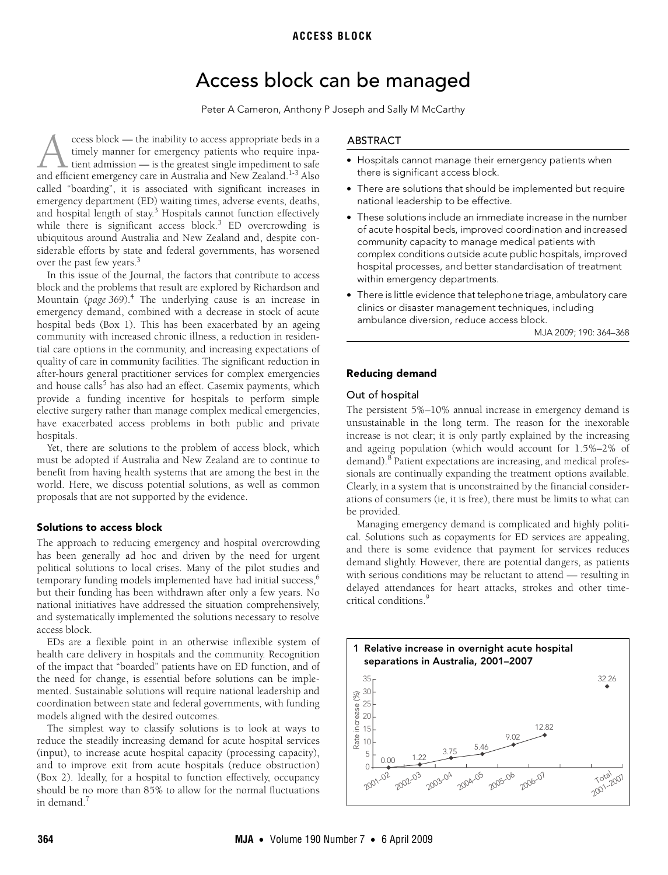# Access block can be managed

Peter A Cameron, Anthony P Joseph and Sally M McCarthy

<span id="page-0-0"></span>siderable efforts by state and federal governments, has worsened  $\frac{1}{2}$  and  $\frac{1}{2}$  and  $\frac{1}{2}$   $\frac{1}{2}$   $\frac{1}{2}$   $\frac{1}{2}$ ccess block — the inability to access appropriate beds in a timely manner for emergency patients who require inpatient admission — is the greatest single impediment to safe ccess block — the inability to access appropriate beds in a timely manner for emergency patients who require inpatient deflicient emergency care in Australia and New Zealand.<sup>1-[3](#page-3-1)</sup> Also called "boarding", it is associated with significant increases in emergency department (ED) waiting times, adverse events, deaths, and hospital length of stay.<sup>[3](#page-3-1)</sup> Hospitals cannot function effectively while there is significant access block.<sup>[3](#page-3-1)</sup> ED overcrowding is ubiquitous around Australia and New Zealand and, despite con-over the past few years.<sup>[3](#page-3-1)</sup>

In this issue of the Journal, the factors that contribute to access block and the problems that result are explored by Richardson and Mountain (page 369).<sup>4</sup> The underlying cause is an increase in emergency demand, combined with a decrease in stock of acute hospital beds (Box 1). This has been exacerbated by an ageing community with increased chronic illness, a reduction in residential care options in the community, and increasing expectations of quality of care in community facilities. The significant reduction in after-hours general practitioner services for complex emergencies and house calls<sup>[5](#page-3-3)</sup> has also had an effect. Casemix payments, which provide a funding incentive for hospitals to perform simple elective surgery rather than manage complex medical emergencies, have exacerbated access problems in both public and private hospitals.

Yet, there are solutions to the problem of access block, which must be adopted if Australia and New Zealand are to continue to benefit from having health systems that are among the best in the world. Here, we discuss potential solutions, as well as common proposals that are not supported by the evidence.

## Solutions to access block

The approach to reducing emergency and hospital overcrowding has been generally ad hoc and driven by the need for urgent political solutions to local crises. Many of the pilot studies and temporary funding models implemented have had initial success,<sup>[6](#page-3-4)</sup> but their funding has been withdrawn after only a few years. No national initiatives have addressed the situation comprehensively, and systematically implemented the solutions necessary to resolve access block.

EDs are a flexible point in an otherwise inflexible system of health care delivery in hospitals and the community. Recognition of the impact that "boarded" patients have on ED function, and of the need for change, is essential before solutions can be implemented. Sustainable solutions will require national leadership and coordination between state and federal governments, with funding models aligned with the desired outcomes.

The simplest way to classify solutions is to look at ways to reduce the steadily increasing demand for acute hospital services (input), to increase acute hospital capacity (processing capacity), and to improve exit from acute hospitals (reduce obstruction) (Box 2). Ideally, for a hospital to function effectively, occupancy should be no more than 85% to allow for the normal fluctuations in demand.<sup>7</sup>

## ABSTRACT

- Hospitals cannot manage their emergency patients when there is significant access block.
- There are solutions that should be implemented but require national leadership to be effective.
- These solutions include an immediate increase in the number of acute hospital beds, improved coordination and increased community capacity to manage medical patients with complex conditions outside acute public hospitals, improved hospital processes, and better standardisation of treatment within emergency departments.
- There is little evidence that telephone triage, ambulatory care clinics or disaster management techniques, including ambulance diversion, reduce access block.

MJA 2009; 190: 364–368

## Reducing demand

## Out of hospital

The persistent 5%–10% annual increase in emergency demand is unsustainable in the long term. The reason for the inexorable increase is not clear; it is only partly explained by the increasing and ageing population (which would account for 1.5%–2% of demand).<sup>[8](#page-3-6)</sup> Patient expectations are increasing, and medical professionals are continually expanding the treatment options available. Clearly, in a system that is unconstrained by the financial considerations of consumers (ie, it is free), there must be limits to what can be provided.

Managing emergency demand is complicated and highly political. Solutions such as copayments for ED services are appealing, and there is some evidence that payment for services reduces demand slightly. However, there are potential dangers, as patients with serious conditions may be reluctant to attend — resulting in delayed attendances for heart attacks, strokes and other timecritical conditions.<sup>9</sup>

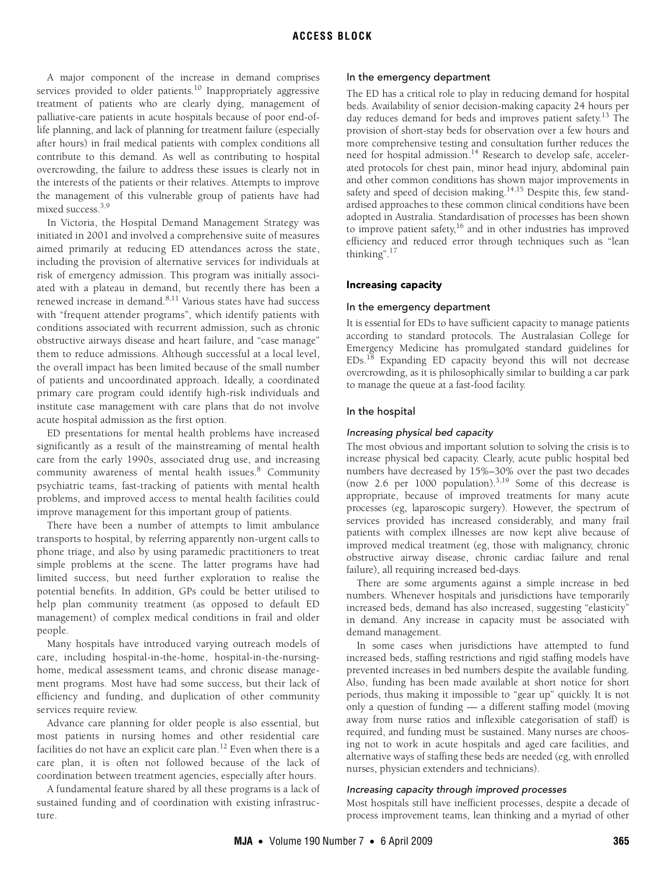# **ACCESS BLOCK**

A major component of the increase in demand comprises services provided to older patients.<sup>10</sup> Inappropriately aggressive treatment of patients who are clearly dying, management of palliative-care patients in acute hospitals because of poor end-oflife planning, and lack of planning for treatment failure (especially after hours) in frail medical patients with complex conditions all contribute to this demand. As well as contributing to hospital overcrowding, the failure to address these issues is clearly not in the interests of the patients or their relatives. Attempts to improve the management of this vulnerable group of patients have had mixed success.<sup>3,[9](#page-3-7)</sup>

In Victoria, the Hospital Demand Management Strategy was initiated in 2001 and involved a comprehensive suite of measures aimed primarily at reducing ED attendances across the state, including the provision of alternative services for individuals at risk of emergency admission. This program was initially associated with a plateau in demand, but recently there has been a renewed increase in demand.<sup>[8,](#page-3-6)11</sup> Various states have had success with "frequent attender programs", which identify patients with conditions associated with recurrent admission, such as chronic obstructive airways disease and heart failure, and "case manage" them to reduce admissions. Although successful at a local level, the overall impact has been limited because of the small number of patients and uncoordinated approach. Ideally, a coordinated primary care program could identify high-risk individuals and institute case management with care plans that do not involve acute hospital admission as the first option.

ED presentations for mental health problems have increased significantly as a result of the mainstreaming of mental health care from the early 1990s, associated drug use, and increasing community awareness of mental health issues.<sup>[8](#page-3-6)</sup> Community psychiatric teams, fast-tracking of patients with mental health problems, and improved access to mental health facilities could improve management for this important group of patients.

There have been a number of attempts to limit ambulance transports to hospital, by referring apparently non-urgent calls to phone triage, and also by using paramedic practitioners to treat simple problems at the scene. The latter programs have had limited success, but need further exploration to realise the potential benefits. In addition, GPs could be better utilised to help plan community treatment (as opposed to default ED management) of complex medical conditions in frail and older people.

Many hospitals have introduced varying outreach models of care, including hospital-in-the-home, hospital-in-the-nursinghome, medical assessment teams, and chronic disease management programs. Most have had some success, but their lack of efficiency and funding, and duplication of other community services require review.

Advance care planning for older people is also essential, but most patients in nursing homes and other residential care facilities do not have an explicit care plan.<sup>12</sup> Even when there is a care plan, it is often not followed because of the lack of coordination between treatment agencies, especially after hours.

A fundamental feature shared by all these programs is a lack of sustained funding and of coordination with existing infrastructure.

## In the emergency department

The ED has a critical role to play in reducing demand for hospital beds. Availability of senior decision-making capacity 24 hours per day reduces demand for beds and improves patient safety.<sup>13</sup> The provision of short-stay beds for observation over a few hours and more comprehensive testing and consultation further reduces the need for hospital admission.<sup>14</sup> Research to develop safe, accelerated protocols for chest pain, minor head injury, abdominal pain and other common conditions has shown major improvements in safety and speed of decision making.<sup>14,15</sup> Despite this, few standardised approaches to these common clinical conditions have been adopted in Australia. Standardisation of processes has been shown to improve patient safety, $16$  and in other industries has improved efficiency and reduced error through techniques such as "lean thinking"[.17](#page-4-1)

## Increasing capacity

## In the emergency department

It is essential for EDs to have sufficient capacity to manage patients according to standard protocols. The Australasian College for Emergency Medicine has promulgated standard guidelines for EDs.[18](#page-4-2) Expanding ED capacity beyond this will not decrease overcrowding, as it is philosophically similar to building a car park to manage the queue at a fast-food facility.

## In the hospital

## Increasing physical bed capacity

The most obvious and important solution to solving the crisis is to increase physical bed capacity. Clearly, acute public hospital bed numbers have decreased by 15%–30% over the past two decades (now 2.6 per 1000 population). $3,19$  $3,19$  Some of this decrease is appropriate, because of improved treatments for many acute processes (eg, laparoscopic surgery). However, the spectrum of services provided has increased considerably, and many frail patients with complex illnesses are now kept alive because of improved medical treatment (eg, those with malignancy, chronic obstructive airway disease, chronic cardiac failure and renal failure), all requiring increased bed-days.

There are some arguments against a simple increase in bed numbers. Whenever hospitals and jurisdictions have temporarily increased beds, demand has also increased, suggesting "elasticity" in demand. Any increase in capacity must be associated with demand management.

In some cases when jurisdictions have attempted to fund increased beds, staffing restrictions and rigid staffing models have prevented increases in bed numbers despite the available funding. Also, funding has been made available at short notice for short periods, thus making it impossible to "gear up" quickly. It is not only a question of funding — a different staffing model (moving away from nurse ratios and inflexible categorisation of staff) is required, and funding must be sustained. Many nurses are choosing not to work in acute hospitals and aged care facilities, and alternative ways of staffing these beds are needed (eg, with enrolled nurses, physician extenders and technicians).

## Increasing capacity through improved processes

Most hospitals still have inefficient processes, despite a decade of process improvement teams, lean thinking and a myriad of other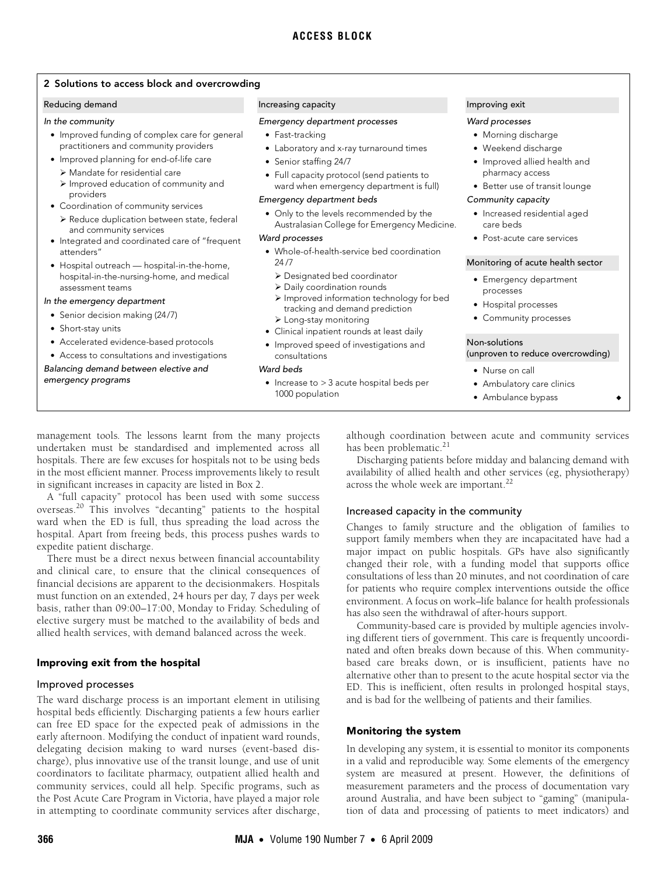## 2 Solutions to access block and overcrowding

#### Reducing demand

#### In the community

- Improved funding of complex care for general practitioners and community providers
- Improved planning for end-of-life care
	- ¾ Mandate for residential care
	- ¾ Improved education of community and providers
- Coordination of community services
	- ¾ Reduce duplication between state, federal and community services
- Integrated and coordinated care of "frequent attenders"
- Hospital outreach hospital-in-the-home, hospital-in-the-nursing-home, and medical assessment teams

#### In the emergency department

- Senior decision making (24/7)
- Short-stay units
- Accelerated evidence-based protocols
- Access to consultations and investigations

Balancing demand between elective and emergency programs

#### Increasing capacity

#### Emergency department processes

- Fast-tracking
- Laboratory and x-ray turnaround times
- Senior staffing 24/7
- Full capacity protocol (send patients to ward when emergency department is full)

#### Emergency department beds

• Only to the levels recommended by the Australasian College for Emergency Medicine.

#### Ward processes

- Whole-of-health-service bed coordination 24 /7
	- ¾ Designated bed coordinator
	- ¾ Daily coordination rounds
	- ¾ Improved information technology for bed tracking and demand prediction
	- $\triangleright$  Long-stay monitoring
- Clinical inpatient rounds at least daily
- Improved speed of investigations and consultations

#### Ward beds

• Increase to > 3 acute hospital beds per 1000 population

## Improving exit

#### Ward processes

- Morning discharge
- Weekend discharge
- Improved allied health and pharmacy access
- Better use of transit lounge

#### Community capacity

- Increased residential aged care beds
- Post-acute care services

#### Monitoring of acute health sector

- Emergency department processes
- Hospital processes
- Community processes

#### Non-solutions (unproven to reduce overcrowding)

- Nurse on call
- Ambulatory care clinics
- Ambulance bypass

management tools. The lessons learnt from the many projects undertaken must be standardised and implemented across all hospitals. There are few excuses for hospitals not to be using beds in the most efficient manner. Process improvements likely to result in significant increases in capacity are listed in Box 2.

A "full capacity" protocol has been used with some success overseas.[20](#page-4-4) This involves "decanting" patients to the hospital ward when the ED is full, thus spreading the load across the hospital. Apart from freeing beds, this process pushes wards to expedite patient discharge.

There must be a direct nexus between financial accountability and clinical care, to ensure that the clinical consequences of financial decisions are apparent to the decisionmakers. Hospitals must function on an extended, 24 hours per day, 7 days per week basis, rather than 09:00–17:00, Monday to Friday. Scheduling of elective surgery must be matched to the availability of beds and allied health services, with demand balanced across the week.

## Improving exit from the hospital

#### Improved processes

The ward discharge process is an important element in utilising hospital beds efficiently. Discharging patients a few hours earlier can free ED space for the expected peak of admissions in the early afternoon. Modifying the conduct of inpatient ward rounds, delegating decision making to ward nurses (event-based discharge), plus innovative use of the transit lounge, and use of unit coordinators to facilitate pharmacy, outpatient allied health and community services, could all help. Specific programs, such as the Post Acute Care Program in Victoria, have played a major role in attempting to coordinate community services after discharge,

although coordination between acute and community services has been problematic.<sup>21</sup>

Discharging patients before midday and balancing demand with availability of allied health and other services (eg, physiotherapy) across the whole week are important.<sup>[22](#page-4-6)</sup>

## Increased capacity in the community

Changes to family structure and the obligation of families to support family members when they are incapacitated have had a major impact on public hospitals. GPs have also significantly changed their role, with a funding model that supports office consultations of less than 20 minutes, and not coordination of care for patients who require complex interventions outside the office environment. A focus on work–life balance for health professionals has also seen the withdrawal of after-hours support.

Community-based care is provided by multiple agencies involving different tiers of government. This care is frequently uncoordinated and often breaks down because of this. When communitybased care breaks down, or is insufficient, patients have no alternative other than to present to the acute hospital sector via the ED. This is inefficient, often results in prolonged hospital stays, and is bad for the wellbeing of patients and their families.

## Monitoring the system

In developing any system, it is essential to monitor its components in a valid and reproducible way. Some elements of the emergency system are measured at present. However, the definitions of measurement parameters and the process of documentation vary around Australia, and have been subject to "gaming" (manipulation of data and processing of patients to meet indicators) and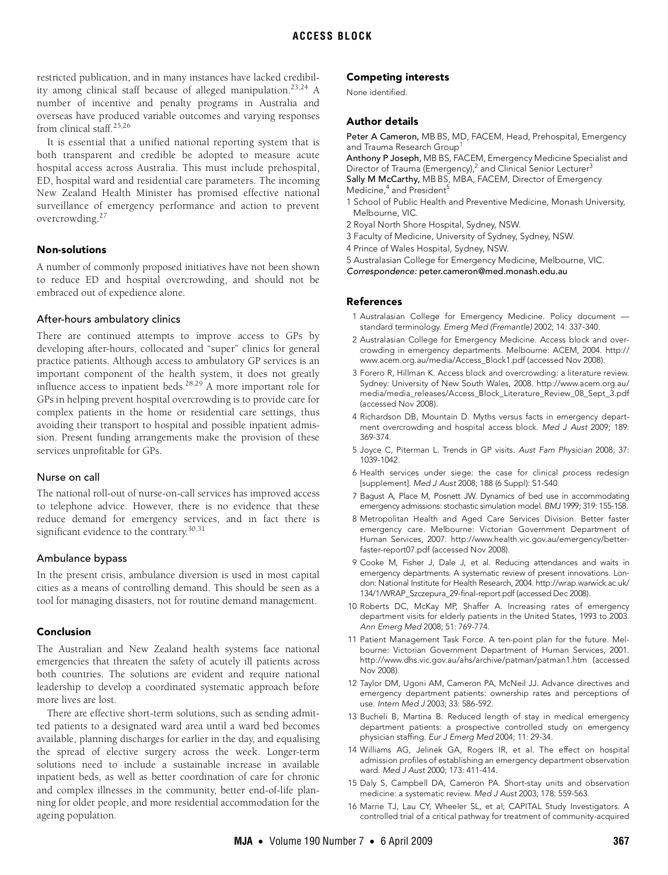restricted publication, and in many instances have lacked credibility among clinical staff because of alleged manipulation.<sup>23,24</sup> A number of incentive and penalty programs in Australia and overseas have produced variable outcomes and varying responses from clinical staff.<sup>[25](#page-4-9)[,26](#page-4-10)</sup>

It is essential that a unified national reporting system that is both transparent and credible be adopted to measure acute hospital access across Australia. This must include prehospital, ED, hospital ward and residential care parameters. The incoming New Zealand Health Minister has promised effective national surveillance of emergency performance and action to prevent overcrowding.[27](#page-4-11)

## Non-solutions

A number of commonly proposed initiatives have not been shown to reduce ED and hospital overcrowding, and should not be embraced out of expedience alone.

## After-hours ambulatory clinics

There are continued attempts to improve access to GPs by developing after-hours, collocated and "super" clinics for general practice patients. Although access to ambulatory GP services is an important component of the health system, it does not greatly influence access to inpatient beds[.28](#page-4-12),[29](#page-4-13) A more important role for GPs in helping prevent hospital overcrowding is to provide care for complex patients in the home or residential care settings, thus avoiding their transport to hospital and possible inpatient admission. Present funding arrangements make the provision of these services unprofitable for GPs.

#### Nurse on call

The national roll-out of nurse-on-call services has improved access to telephone advice. However, there is no evidence that these reduce demand for emergency services, and in fact there is significant evidence to the contrary.<sup>[30](#page-4-14)[,31](#page-4-0)</sup>

## Ambulance bypass

In the present crisis, ambulance diversion is used in most capital cities as a means of controlling demand. This should be seen as a tool for managing disasters, not for routine demand management.

## Conclusion

The Australian and New Zealand health systems face national emergencies that threaten the safety of acutely ill patients across both countries. The solutions are evident and require national leadership to develop a coordinated systematic approach before more lives are lost.

There are effective short-term solutions, such as sending admitted patients to a designated ward area until a ward bed becomes available, planning discharges for earlier in the day, and equalising the spread of elective surgery across the week. Longer-term solutions need to include a sustainable increase in available inpatient beds, as well as better coordination of care for chronic and complex illnesses in the community, better end-of-life planning for older people, and more residential accommodation for the ageing population.

#### Competing interests

None identified.

# Author details

Peter A Cameron, MB BS, MD, FACEM, Head, Prehospital, Emergency and Trauma Research Group<sup>1</sup>

Anthony P Joseph, MB BS, FACEM, Emergency Medicine Specialist and Director of Trauma (Emergency),<sup>2</sup> and Clinical Senior Lecturer<sup>3</sup> Sally M McCarthy, MB BS, MBA, FACEM, Director of Emergency Medicine,<sup>4</sup> and President<sup>5</sup>

- 1 School of Public Health and Preventive Medicine, Monash University, Melbourne, VIC.
- 2 Royal North Shore Hospital, Sydney, NSW.
- 3 Faculty of Medicine, University of Sydney, Sydney, NSW.
- 4 Prince of Wales Hospital, Sydney, NSW.

5 Australasian College for Emergency Medicine, Melbourne, VIC.

Correspondence: peter.cameron@med.monash.edu.au

#### References

- <span id="page-3-0"></span>1 Australasian College for Emergency Medicine. Policy document standard terminology. Emerg Med (Fremantle) 2002; 14: 337-340.
- 2 Australasian College for Emergency Medicine. Access block and overcrowding in emergency departments. Melbourne: ACEM, 2004. http:// www.acem.org.au/media/Access\_Block1.pdf (accessed Nov 2008).
- <span id="page-3-1"></span>3 Forero R, Hillman K. Access block and overcrowding: a literature review. Sydney: University of New South Wales, 2008. http://www.acem.org.au/ media/media\_releases/Access\_Block\_Literature\_Review\_08\_Sept\_3.pdf (accessed Nov 2008).
- <span id="page-3-2"></span>4 Richardson DB, Mountain D. Myths versus facts in emergency department overcrowding and hospital access block. Med J Aust 2009; 189: 369-374.
- <span id="page-3-3"></span>5 Joyce C, Piterman L. Trends in GP visits. Aust Fam Physician 2008; 37: 1039-1042.
- <span id="page-3-4"></span>6 Health services under siege: the case for clinical process redesign [supplement]. Med J Aust 2008; 188 (6 Suppl): S1-S40.
- <span id="page-3-5"></span>7 Bagust A, Place M, Posnett JW. Dynamics of bed use in accommodating emergency admissions: stochastic simulation model. BMJ 1999; 319: 155-158.
- <span id="page-3-6"></span>8 Metropolitan Health and Aged Care Services Division. Better faster emergency care. Melbourne: Victorian Government Department of Human Services, 2007. http://www.health.vic.gov.au/emergency/betterfaster-report07.pdf (accessed Nov 2008).
- <span id="page-3-7"></span>9 Cooke M, Fisher J, Dale J, et al. Reducing attendances and waits in emergency departments. A systematic review of present innovations. London: National Institute for Health Research, 2004. http://wrap.warwick.ac.uk/ 134/1/WRAP\_Szczepura\_29-final-report.pdf (accessed Dec 2008).
- <span id="page-3-8"></span>10 Roberts DC, McKay MP, Shaffer A. Increasing rates of emergency department visits for elderly patients in the United States, 1993 to 2003. Ann Emerg Med 2008; 51: 769-774.
- <span id="page-3-9"></span>11 Patient Management Task Force. A ten-point plan for the future. Melbourne: Victorian Government Department of Human Services, 2001. http://www.dhs.vic.gov.au/ahs/archive/patman/patman1.htm (accessed Nov 2008).
- <span id="page-3-10"></span>12 Taylor DM, Ugoni AM, Cameron PA, McNeil JJ. Advance directives and emergency department patients: ownership rates and perceptions of use. Intern Med J 2003; 33: 586-592.
- <span id="page-3-11"></span>13 Bucheli B, Martina B. Reduced length of stay in medical emergency department patients: a prospective controlled study on emergency physician staffing. Eur J Emerg Med 2004; 11: 29-34.
- <span id="page-3-12"></span>14 Williams AG, Jelinek GA, Rogers IR, et al. The effect on hospital admission profiles of establishing an emergency department observation ward. Med J Aust 2000; 173: 411-414.
- <span id="page-3-13"></span>15 Daly S, Campbell DA, Cameron PA. Short-stay units and observation medicine: a systematic review. Med J Aust 2003; 178: 559-563.
- <span id="page-3-14"></span>16 Marrie TJ, Lau CY, Wheeler SL, et al; CAPITAL Study Investigators. A controlled trial of a critical pathway for treatment of community-acquired